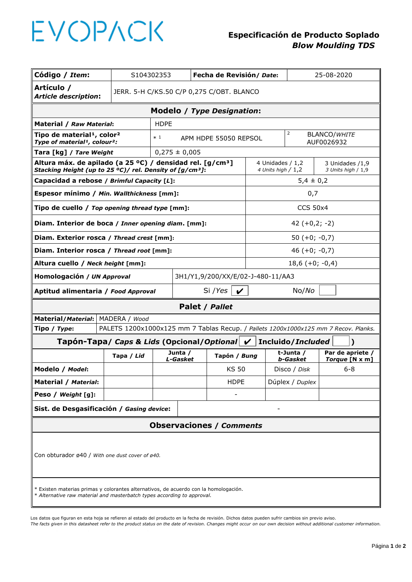## EVOPACK

## **Especificación de Producto Soplado**   *Blow Moulding TDS*

| Código / Item:                                                                                                                                                  |                                                                                                                     | S104302353<br>Fecha de Revisión/ Date:    |                                          |                                 |                                       |                  |                       | 25-08-2020                        |                                    |  |  |  |
|-----------------------------------------------------------------------------------------------------------------------------------------------------------------|---------------------------------------------------------------------------------------------------------------------|-------------------------------------------|------------------------------------------|---------------------------------|---------------------------------------|------------------|-----------------------|-----------------------------------|------------------------------------|--|--|--|
| Artículo /<br><b>Article description:</b>                                                                                                                       |                                                                                                                     | JERR. 5-H C/KS.50 C/P 0,275 C/OBT. BLANCO |                                          |                                 |                                       |                  |                       |                                   |                                    |  |  |  |
|                                                                                                                                                                 |                                                                                                                     |                                           |                                          | Modelo / Type Designation:      |                                       |                  |                       |                                   |                                    |  |  |  |
| Material / Raw Material:                                                                                                                                        | <b>HDPE</b>                                                                                                         |                                           |                                          |                                 |                                       |                  |                       |                                   |                                    |  |  |  |
|                                                                                                                                                                 | Tipo de material <sup>1</sup> , color <sup>2</sup><br>$*1$<br>Type of material <sup>1</sup> , colour <sup>2</sup> : |                                           |                                          |                                 | APM HDPE 55050 REPSOL                 | $\overline{2}$   |                       | <b>BLANCO/WHITE</b><br>AUF0026932 |                                    |  |  |  |
| Tara [kg] / Tare Weight                                                                                                                                         |                                                                                                                     |                                           | $0,275 \pm 0,005$                        |                                 |                                       |                  |                       |                                   |                                    |  |  |  |
| Altura máx. de apilado (a 25 °C) / densidad rel. [g/cm <sup>3</sup> ]<br>Stacking Height (up to 25 °C)/ rel. Density of [g/cm <sup>3</sup> ]:                   |                                                                                                                     |                                           | 4 Unidades / 1,2<br>4 Units high $/ 1,2$ |                                 | 3 Unidades /1,9<br>3 Units high / 1,9 |                  |                       |                                   |                                    |  |  |  |
|                                                                                                                                                                 | Capacidad a rebose / Brimful Capacity [L]:                                                                          |                                           |                                          |                                 |                                       |                  | $5,4 \pm 0,2$         |                                   |                                    |  |  |  |
| Espesor mínimo / Min. Wallthickness [mm]:                                                                                                                       |                                                                                                                     |                                           |                                          |                                 |                                       | 0,7              |                       |                                   |                                    |  |  |  |
| Tipo de cuello / Top opening thread type [mm]:                                                                                                                  |                                                                                                                     |                                           |                                          |                                 |                                       | <b>CCS 50x4</b>  |                       |                                   |                                    |  |  |  |
| Diam. Interior de boca / Inner opening diam. [mm]:                                                                                                              |                                                                                                                     |                                           |                                          |                                 |                                       | $42 (+0,2; -2)$  |                       |                                   |                                    |  |  |  |
| Diam. Exterior rosca / Thread crest [mm]:                                                                                                                       |                                                                                                                     |                                           |                                          |                                 |                                       | $50 (+0; -0, 7)$ |                       |                                   |                                    |  |  |  |
| Diam. Interior rosca / Thread root [mm]:                                                                                                                        | $46 (+0; -0, 7)$                                                                                                    |                                           |                                          |                                 |                                       |                  |                       |                                   |                                    |  |  |  |
| Altura cuello / Neck height [mm]:                                                                                                                               | $18,6 (+0; -0,4)$                                                                                                   |                                           |                                          |                                 |                                       |                  |                       |                                   |                                    |  |  |  |
| 3H1/Y1,9/200/XX/E/02-J-480-11/AA3<br>Homologación / UN Approval                                                                                                 |                                                                                                                     |                                           |                                          |                                 |                                       |                  |                       |                                   |                                    |  |  |  |
| Aptitud alimentaria / Food Approval                                                                                                                             |                                                                                                                     |                                           | Si /Yes $\mathbf{v}$                     |                                 |                                       | No/No            |                       |                                   |                                    |  |  |  |
| Palet / Pallet                                                                                                                                                  |                                                                                                                     |                                           |                                          |                                 |                                       |                  |                       |                                   |                                    |  |  |  |
| Material/Material:   MADERA / Wood                                                                                                                              |                                                                                                                     |                                           |                                          |                                 |                                       |                  |                       |                                   |                                    |  |  |  |
| Tipo / Type:                                                                                                                                                    | PALETS 1200x1000x125 mm 7 Tablas Recup. / Pallets 1200x1000x125 mm 7 Recov. Planks.                                 |                                           |                                          |                                 |                                       |                  |                       |                                   |                                    |  |  |  |
|                                                                                                                                                                 | Tapón-Tapa/ Caps & Lids (Opcional/Optional $\mathcal V$<br>Incluido/Included<br>Ι                                   |                                           |                                          |                                 |                                       |                  |                       |                                   |                                    |  |  |  |
|                                                                                                                                                                 | Tapa / Lid                                                                                                          |                                           | Junta /<br><b>L-Gasket</b>               | Tapón / Bung                    |                                       |                  | t-Junta /<br>b-Gasket |                                   | Par de apriete /<br>Torque [N x m] |  |  |  |
| Modelo / Model:                                                                                                                                                 |                                                                                                                     |                                           |                                          |                                 | <b>KS 50</b>                          |                  | Disco / Disk          |                                   | $6 - 8$                            |  |  |  |
| Material / Material:                                                                                                                                            |                                                                                                                     |                                           |                                          | <b>HDPE</b>                     |                                       |                  | Dúplex / Duplex       |                                   |                                    |  |  |  |
| Peso / Weight [g]:                                                                                                                                              |                                                                                                                     |                                           |                                          |                                 |                                       |                  |                       |                                   |                                    |  |  |  |
| Sist. de Desgasificación / Gasing device:                                                                                                                       |                                                                                                                     |                                           |                                          |                                 |                                       |                  |                       |                                   |                                    |  |  |  |
|                                                                                                                                                                 |                                                                                                                     |                                           |                                          | <b>Observaciones / Comments</b> |                                       |                  |                       |                                   |                                    |  |  |  |
| Con obturador ø40 / With one dust cover of ø40.                                                                                                                 |                                                                                                                     |                                           |                                          |                                 |                                       |                  |                       |                                   |                                    |  |  |  |
| * Existen materias primas y colorantes alternativos, de acuerdo con la homologación.<br>* Alternative raw material and masterbatch types according to approval. |                                                                                                                     |                                           |                                          |                                 |                                       |                  |                       |                                   |                                    |  |  |  |

Los datos que figuran en esta hoja se refieren al estado del producto en la fecha de revisión. Dichos datos pueden sufrir cambios sin previo aviso.

*The facts given in this datasheet refer to the product status on the date of revision. Changes might occur on our own decision without additional customer information.*